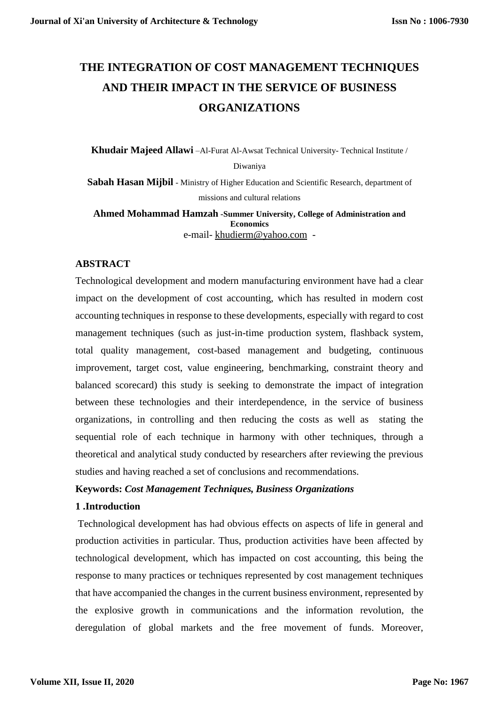# **THE INTEGRATION OF COST MANAGEMENT TECHNIQUES AND THEIR IMPACT IN THE SERVICE OF BUSINESS ORGANIZATIONS**

**Khudair Majeed Allawi** –Al-Furat Al-Awsat Technical University- Technical Institute / Diwaniya

**Sabah Hasan Mijbil** - Ministry of Higher Education and Scientific Research, department of missions and cultural relations

**Ahmed Mohammad Hamzah -Summer University, College of Administration and Economics** e-mail- [khudierm@yahoo.com](mailto:khudierm@yahoo.com) -

# **ABSTRACT**

Technological development and modern manufacturing environment have had a clear impact on the development of cost accounting, which has resulted in modern cost accounting techniques in response to these developments, especially with regard to cost management techniques (such as just-in-time production system, flashback system, total quality management, cost-based management and budgeting, continuous improvement, target cost, value engineering, benchmarking, constraint theory and balanced scorecard) this study is seeking to demonstrate the impact of integration between these technologies and their interdependence, in the service of business organizations, in controlling and then reducing the costs as well as stating the sequential role of each technique in harmony with other techniques, through a theoretical and analytical study conducted by researchers after reviewing the previous studies and having reached a set of conclusions and recommendations.

## **Keywords:** *Cost Management Techniques, Business Organizations*

## **1 .Introduction**

Technological development has had obvious effects on aspects of life in general and production activities in particular. Thus, production activities have been affected by technological development, which has impacted on cost accounting, this being the response to many practices or techniques represented by cost management techniques that have accompanied the changes in the current business environment, represented by the explosive growth in communications and the information revolution, the deregulation of global markets and the free movement of funds. Moreover,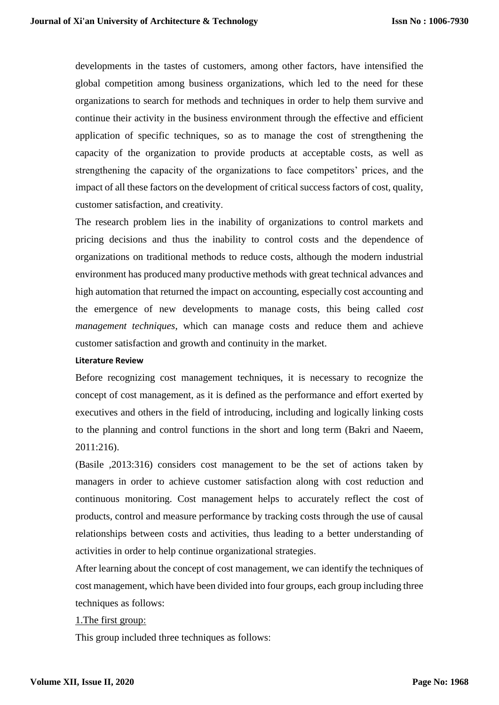developments in the tastes of customers, among other factors, have intensified the global competition among business organizations, which led to the need for these organizations to search for methods and techniques in order to help them survive and continue their activity in the business environment through the effective and efficient application of specific techniques, so as to manage the cost of strengthening the capacity of the organization to provide products at acceptable costs, as well as strengthening the capacity of the organizations to face competitors' prices, and the impact of all these factors on the development of critical success factors of cost, quality, customer satisfaction, and creativity.

The research problem lies in the inability of organizations to control markets and pricing decisions and thus the inability to control costs and the dependence of organizations on traditional methods to reduce costs, although the modern industrial environment has produced many productive methods with great technical advances and high automation that returned the impact on accounting, especially cost accounting and the emergence of new developments to manage costs, this being called *cost management techniques*, which can manage costs and reduce them and achieve customer satisfaction and growth and continuity in the market.

#### **Literature Review**

Before recognizing cost management techniques, it is necessary to recognize the concept of cost management, as it is defined as the performance and effort exerted by executives and others in the field of introducing, including and logically linking costs to the planning and control functions in the short and long term (Bakri and Naeem, 2011:216).

(Basile ,2013:316) considers cost management to be the set of actions taken by managers in order to achieve customer satisfaction along with cost reduction and continuous monitoring. Cost management helps to accurately reflect the cost of products, control and measure performance by tracking costs through the use of causal relationships between costs and activities, thus leading to a better understanding of activities in order to help continue organizational strategies.

After learning about the concept of cost management, we can identify the techniques of cost management, which have been divided into four groups, each group including three techniques as follows:

## 1.The first group:

This group included three techniques as follows: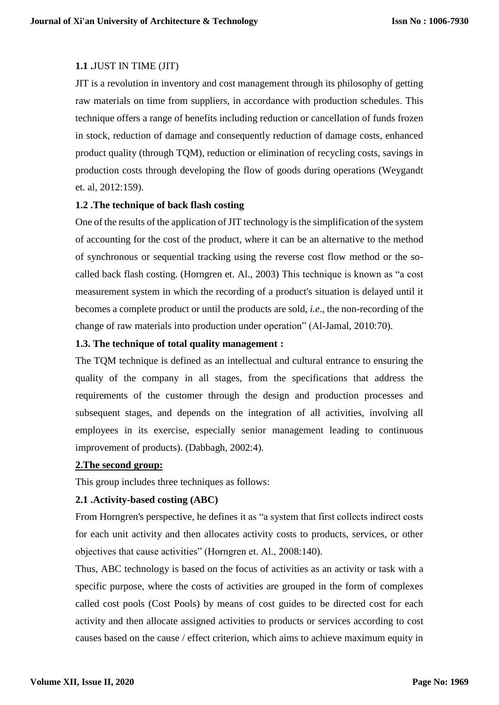# **1.1 .**JUST IN TIME (JIT)

JIT is a revolution in inventory and cost management through its philosophy of getting raw materials on time from suppliers, in accordance with production schedules. This technique offers a range of benefits including reduction or cancellation of funds frozen in stock, reduction of damage and consequently reduction of damage costs, enhanced product quality (through TQM), reduction or elimination of recycling costs, savings in production costs through developing the flow of goods during operations (Weygandt et. al, 2012:159).

## **1.2 .The technique of back flash costing**

One of the results of the application of JIT technology is the simplification of the system of accounting for the cost of the product, where it can be an alternative to the method of synchronous or sequential tracking using the reverse cost flow method or the socalled back flash costing. (Horngren et. Al., 2003) This technique is known as "a cost measurement system in which the recording of a product's situation is delayed until it becomes a complete product or until the products are sold, *i.e*., the non-recording of the change of raw materials into production under operation" (Al-Jamal, 2010:70).

# **1.3. The technique of total quality management :**

The TQM technique is defined as an intellectual and cultural entrance to ensuring the quality of the company in all stages, from the specifications that address the requirements of the customer through the design and production processes and subsequent stages, and depends on the integration of all activities, involving all employees in its exercise, especially senior management leading to continuous improvement of products). (Dabbagh, 2002:4).

# **2.The second group:**

This group includes three techniques as follows:

# **2.1 .Activity-based costing (ABC)**

From Horngren's perspective, he defines it as "a system that first collects indirect costs for each unit activity and then allocates activity costs to products, services, or other objectives that cause activities" (Horngren et. Al., 2008:140).

Thus, ABC technology is based on the focus of activities as an activity or task with a specific purpose, where the costs of activities are grouped in the form of complexes called cost pools (Cost Pools) by means of cost guides to be directed cost for each activity and then allocate assigned activities to products or services according to cost causes based on the cause / effect criterion, which aims to achieve maximum equity in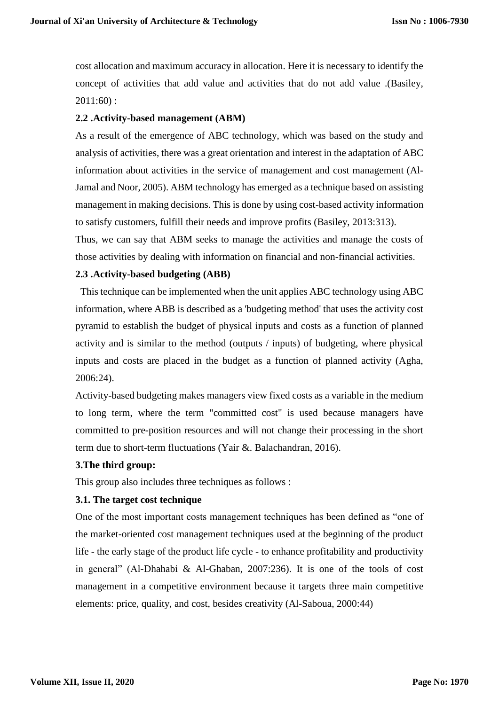cost allocation and maximum accuracy in allocation. Here it is necessary to identify the concept of activities that add value and activities that do not add value .(Basiley, 2011:60) :

## **2.2 .Activity-based management (ABM)**

As a result of the emergence of ABC technology, which was based on the study and analysis of activities, there was a great orientation and interest in the adaptation of ABC information about activities in the service of management and cost management (Al-Jamal and Noor, 2005). ABM technology has emerged as a technique based on assisting management in making decisions. This is done by using cost-based activity information to satisfy customers, fulfill their needs and improve profits (Basiley, 2013:313).

Thus, we can say that ABM seeks to manage the activities and manage the costs of those activities by dealing with information on financial and non-financial activities.

## **2.3 .Activity-based budgeting (ABB)**

 This technique can be implemented when the unit applies ABC technology using ABC information, where ABB is described as a 'budgeting method' that uses the activity cost pyramid to establish the budget of physical inputs and costs as a function of planned activity and is similar to the method (outputs / inputs) of budgeting, where physical inputs and costs are placed in the budget as a function of planned activity (Agha, 2006:24).

Activity-based budgeting makes managers view fixed costs as a variable in the medium to long term, where the term "committed cost" is used because managers have committed to pre-position resources and will not change their processing in the short term due to short-term fluctuations (Yair &. Balachandran, 2016).

## **3.The third group:**

This group also includes three techniques as follows :

# **3.1. The target cost technique**

One of the most important costs management techniques has been defined as "one of the market-oriented cost management techniques used at the beginning of the product life - the early stage of the product life cycle - to enhance profitability and productivity in general" (Al-Dhahabi & Al-Ghaban, 2007:236). It is one of the tools of cost management in a competitive environment because it targets three main competitive elements: price, quality, and cost, besides creativity (Al-Saboua, 2000:44)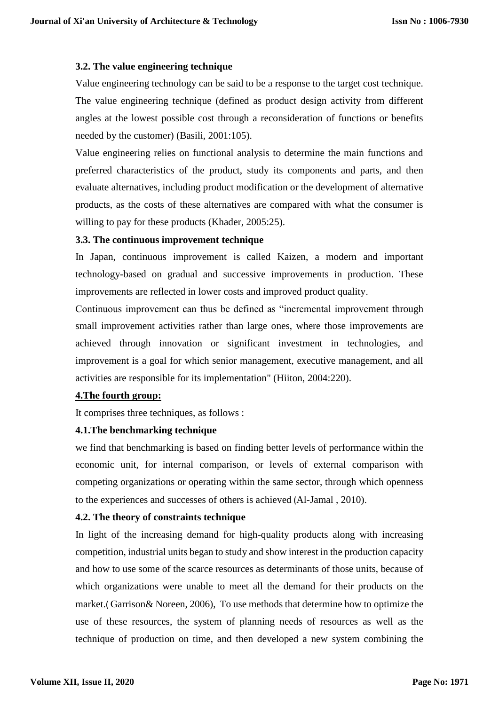## **3.2. The value engineering technique**

Value engineering technology can be said to be a response to the target cost technique. The value engineering technique (defined as product design activity from different angles at the lowest possible cost through a reconsideration of functions or benefits needed by the customer) (Basili, 2001:105).

Value engineering relies on functional analysis to determine the main functions and preferred characteristics of the product, study its components and parts, and then evaluate alternatives, including product modification or the development of alternative products, as the costs of these alternatives are compared with what the consumer is willing to pay for these products (Khader, 2005:25).

## **3.3. The continuous improvement technique**

In Japan, continuous improvement is called Kaizen, a modern and important technology-based on gradual and successive improvements in production. These improvements are reflected in lower costs and improved product quality.

Continuous improvement can thus be defined as "incremental improvement through small improvement activities rather than large ones, where those improvements are achieved through innovation or significant investment in technologies, and improvement is a goal for which senior management, executive management, and all activities are responsible for its implementation" (Hiiton, 2004:220).

## **4.The fourth group:**

It comprises three techniques, as follows :

# **4.1.The benchmarking technique**

we find that benchmarking is based on finding better levels of performance within the economic unit, for internal comparison, or levels of external comparison with competing organizations or operating within the same sector, through which openness to the experiences and successes of others is achieved (Al-Jamal , 2010).

# **4.2. The theory of constraints technique**

In light of the increasing demand for high-quality products along with increasing competition, industrial units began to study and show interest in the production capacity and how to use some of the scarce resources as determinants of those units, because of which organizations were unable to meet all the demand for their products on the market.( Garrison& Noreen, 2006), To use methods that determine how to optimize the use of these resources, the system of planning needs of resources as well as the technique of production on time, and then developed a new system combining the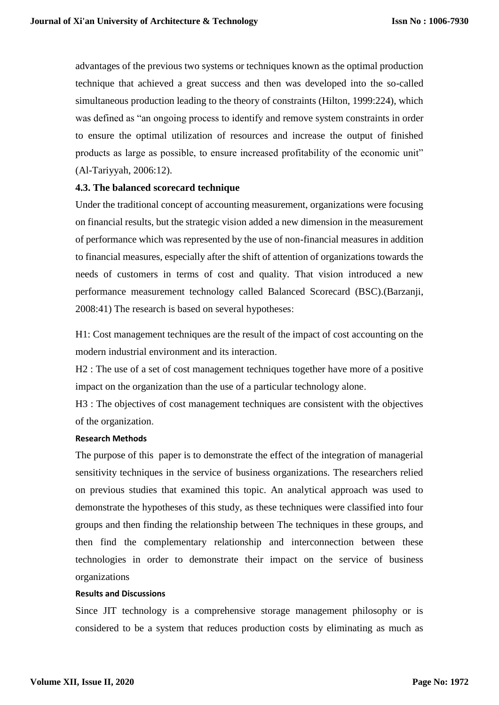advantages of the previous two systems or techniques known as the optimal production technique that achieved a great success and then was developed into the so-called simultaneous production leading to the theory of constraints (Hilton, 1999:224), which was defined as "an ongoing process to identify and remove system constraints in order to ensure the optimal utilization of resources and increase the output of finished products as large as possible, to ensure increased profitability of the economic unit" (Al-Tariyyah, 2006:12).

## **4.3. The balanced scorecard technique**

Under the traditional concept of accounting measurement, organizations were focusing on financial results, but the strategic vision added a new dimension in the measurement of performance which was represented by the use of non-financial measures in addition to financial measures, especially after the shift of attention of organizations towards the needs of customers in terms of cost and quality. That vision introduced a new performance measurement technology called Balanced Scorecard (BSC).(Barzanji, 2008:41) The research is based on several hypotheses:

H1: Cost management techniques are the result of the impact of cost accounting on the modern industrial environment and its interaction.

H2 : The use of a set of cost management techniques together have more of a positive impact on the organization than the use of a particular technology alone.

H3 : The objectives of cost management techniques are consistent with the objectives of the organization.

## **Research Methods**

The purpose of this paper is to demonstrate the effect of the integration of managerial sensitivity techniques in the service of business organizations. The researchers relied on previous studies that examined this topic. An analytical approach was used to demonstrate the hypotheses of this study, as these techniques were classified into four groups and then finding the relationship between The techniques in these groups, and then find the complementary relationship and interconnection between these technologies in order to demonstrate their impact on the service of business organizations

## **Results and Discussions**

Since JIT technology is a comprehensive storage management philosophy or is considered to be a system that reduces production costs by eliminating as much as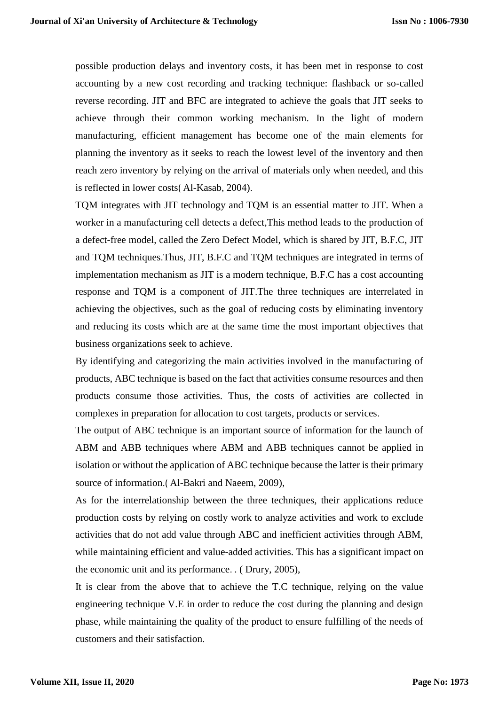possible production delays and inventory costs, it has been met in response to cost accounting by a new cost recording and tracking technique: flashback or so-called reverse recording. JIT and BFC are integrated to achieve the goals that JIT seeks to achieve through their common working mechanism. In the light of modern manufacturing, efficient management has become one of the main elements for planning the inventory as it seeks to reach the lowest level of the inventory and then reach zero inventory by relying on the arrival of materials only when needed, and this is reflected in lower costs( Al-Kasab, 2004).

TQM integrates with JIT technology and TQM is an essential matter to JIT. When a worker in a manufacturing cell detects a defect,This method leads to the production of a defect-free model, called the Zero Defect Model, which is shared by JIT, B.F.C, JIT and TQM techniques.Thus, JIT, B.F.C and TQM techniques are integrated in terms of implementation mechanism as JIT is a modern technique, B.F.C has a cost accounting response and TQM is a component of JIT.The three techniques are interrelated in achieving the objectives, such as the goal of reducing costs by eliminating inventory and reducing its costs which are at the same time the most important objectives that business organizations seek to achieve.

By identifying and categorizing the main activities involved in the manufacturing of products, ABC technique is based on the fact that activities consume resources and then products consume those activities. Thus, the costs of activities are collected in complexes in preparation for allocation to cost targets, products or services.

The output of ABC technique is an important source of information for the launch of ABM and ABB techniques where ABM and ABB techniques cannot be applied in isolation or without the application of ABC technique because the latter is their primary source of information.( Al-Bakri and Naeem, 2009),

As for the interrelationship between the three techniques, their applications reduce production costs by relying on costly work to analyze activities and work to exclude activities that do not add value through ABC and inefficient activities through ABM, while maintaining efficient and value-added activities. This has a significant impact on the economic unit and its performance. . ( Drury, 2005),

It is clear from the above that to achieve the T.C technique, relying on the value engineering technique V.E in order to reduce the cost during the planning and design phase, while maintaining the quality of the product to ensure fulfilling of the needs of customers and their satisfaction.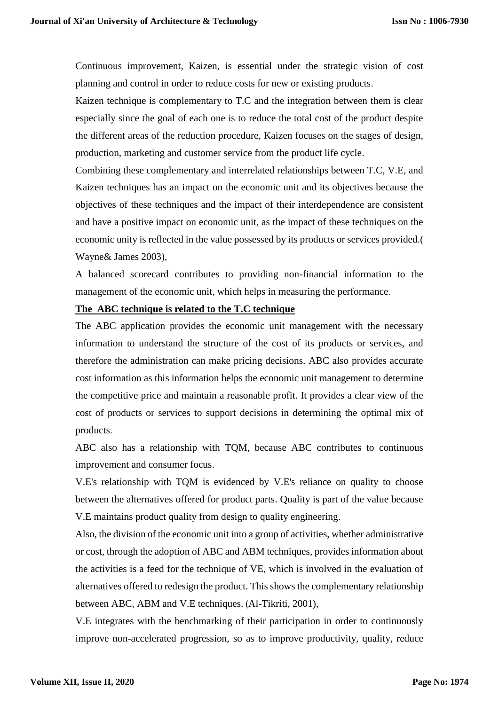Continuous improvement, Kaizen, is essential under the strategic vision of cost planning and control in order to reduce costs for new or existing products.

Kaizen technique is complementary to T.C and the integration between them is clear especially since the goal of each one is to reduce the total cost of the product despite the different areas of the reduction procedure, Kaizen focuses on the stages of design, production, marketing and customer service from the product life cycle.

Combining these complementary and interrelated relationships between T.C, V.E, and Kaizen techniques has an impact on the economic unit and its objectives because the objectives of these techniques and the impact of their interdependence are consistent and have a positive impact on economic unit, as the impact of these techniques on the economic unity is reflected in the value possessed by its products or services provided.( Wayne& James 2003),

A balanced scorecard contributes to providing non-financial information to the management of the economic unit, which helps in measuring the performance.

## **The ABC technique is related to the T.C technique**

The ABC application provides the economic unit management with the necessary information to understand the structure of the cost of its products or services, and therefore the administration can make pricing decisions. ABC also provides accurate cost information as this information helps the economic unit management to determine the competitive price and maintain a reasonable profit. It provides a clear view of the cost of products or services to support decisions in determining the optimal mix of products.

ABC also has a relationship with TQM, because ABC contributes to continuous improvement and consumer focus.

V.E's relationship with TQM is evidenced by V.E's reliance on quality to choose between the alternatives offered for product parts. Quality is part of the value because V.E maintains product quality from design to quality engineering.

Also, the division of the economic unit into a group of activities, whether administrative or cost, through the adoption of ABC and ABM techniques, provides information about the activities is a feed for the technique of VE, which is involved in the evaluation of alternatives offered to redesign the product. This shows the complementary relationship between ABC, ABM and V.E techniques. (Al-Tikriti, 2001),

V.E integrates with the benchmarking of their participation in order to continuously improve non-accelerated progression, so as to improve productivity, quality, reduce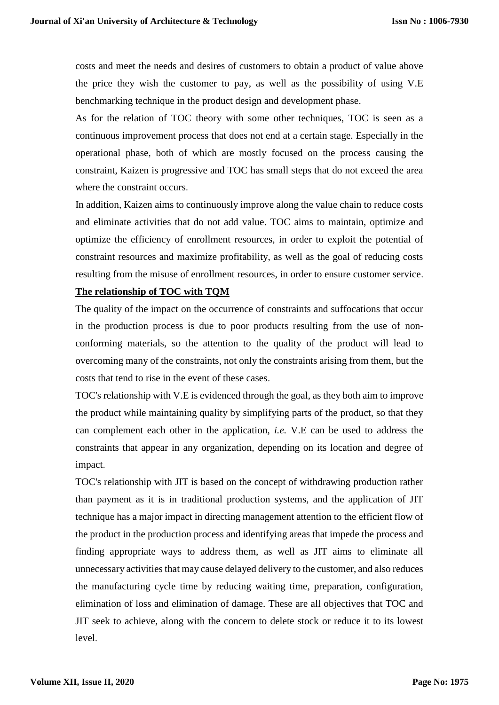costs and meet the needs and desires of customers to obtain a product of value above the price they wish the customer to pay, as well as the possibility of using V.E benchmarking technique in the product design and development phase.

As for the relation of TOC theory with some other techniques, TOC is seen as a continuous improvement process that does not end at a certain stage. Especially in the operational phase, both of which are mostly focused on the process causing the constraint, Kaizen is progressive and TOC has small steps that do not exceed the area where the constraint occurs.

In addition, Kaizen aims to continuously improve along the value chain to reduce costs and eliminate activities that do not add value. TOC aims to maintain, optimize and optimize the efficiency of enrollment resources, in order to exploit the potential of constraint resources and maximize profitability, as well as the goal of reducing costs resulting from the misuse of enrollment resources, in order to ensure customer service.

## **The relationship of TOC with TQM**

The quality of the impact on the occurrence of constraints and suffocations that occur in the production process is due to poor products resulting from the use of nonconforming materials, so the attention to the quality of the product will lead to overcoming many of the constraints, not only the constraints arising from them, but the costs that tend to rise in the event of these cases.

TOC's relationship with V.E is evidenced through the goal, as they both aim to improve the product while maintaining quality by simplifying parts of the product, so that they can complement each other in the application, *i.e.* V.E can be used to address the constraints that appear in any organization, depending on its location and degree of impact.

TOC's relationship with JIT is based on the concept of withdrawing production rather than payment as it is in traditional production systems, and the application of JIT technique has a major impact in directing management attention to the efficient flow of the product in the production process and identifying areas that impede the process and finding appropriate ways to address them, as well as JIT aims to eliminate all unnecessary activities that may cause delayed delivery to the customer, and also reduces the manufacturing cycle time by reducing waiting time, preparation, configuration, elimination of loss and elimination of damage. These are all objectives that TOC and JIT seek to achieve, along with the concern to delete stock or reduce it to its lowest level.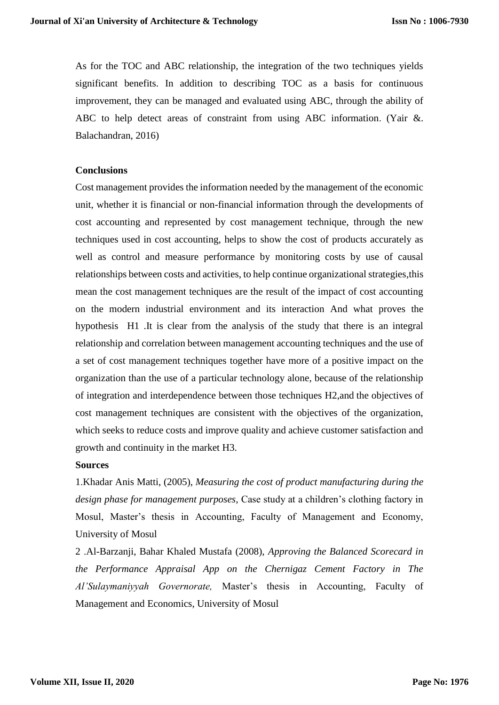As for the TOC and ABC relationship, the integration of the two techniques yields significant benefits. In addition to describing TOC as a basis for continuous improvement, they can be managed and evaluated using ABC, through the ability of ABC to help detect areas of constraint from using ABC information. (Yair &. Balachandran, 2016)

#### **Conclusions**

Cost management provides the information needed by the management of the economic unit, whether it is financial or non-financial information through the developments of cost accounting and represented by cost management technique, through the new techniques used in cost accounting, helps to show the cost of products accurately as well as control and measure performance by monitoring costs by use of causal relationships between costs and activities, to help continue organizational strategies,this mean the cost management techniques are the result of the impact of cost accounting on the modern industrial environment and its interaction And what proves the hypothesis H1 .It is clear from the analysis of the study that there is an integral relationship and correlation between management accounting techniques and the use of a set of cost management techniques together have more of a positive impact on the organization than the use of a particular technology alone, because of the relationship of integration and interdependence between those techniques H2,and the objectives of cost management techniques are consistent with the objectives of the organization, which seeks to reduce costs and improve quality and achieve customer satisfaction and growth and continuity in the market H3.

#### **Sources**

1.Khadar Anis Matti, (2005), *Measuring the cost of product manufacturing during the design phase for management purposes,* Case study at a children's clothing factory in Mosul, Master's thesis in Accounting, Faculty of Management and Economy, University of Mosul

2 .Al-Barzanji, Bahar Khaled Mustafa (2008), *Approving the Balanced Scorecard in the Performance Appraisal App on the Chernigaz Cement Factory in The Al'Sulaymaniyyah Governorate,* Master's thesis in Accounting, Faculty of Management and Economics, University of Mosul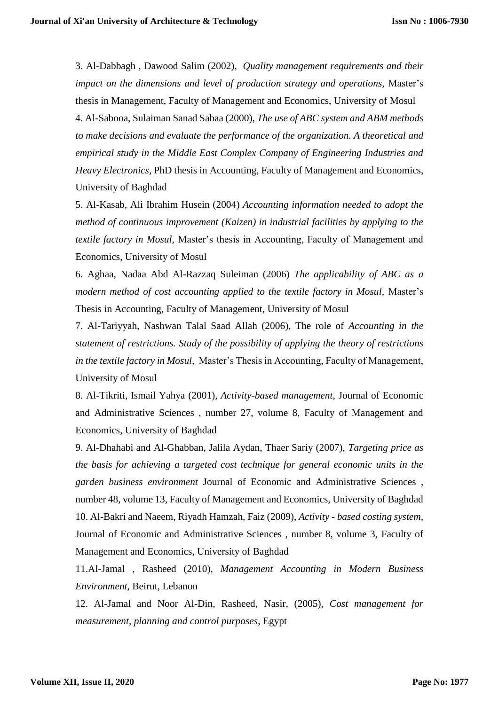3. Al-Dabbagh , Dawood Salim (2002), *Quality management requirements and their impact on the dimensions and level of production strategy and operations,* Master's thesis in Management, Faculty of Management and Economics, University of Mosul 4. Al-Sabooa, Sulaiman Sanad Sabaa (2000), *The use of ABC system and ABM methods to make decisions and evaluate the performance of the organization. A theoretical and empirical study in the Middle East Complex Company of Engineering Industries and Heavy Electronics,* PhD thesis in Accounting, Faculty of Management and Economics, University of Baghdad

5. Al-Kasab, Ali Ibrahim Husein (2004) *Accounting information needed to adopt the method of continuous improvement (Kaizen) in industrial facilities by applying to the textile factory in Mosul,* Master's thesis in Accounting, Faculty of Management and Economics, University of Mosul

6. Aghaa, Nadaa Abd Al-Razzaq Suleiman (2006) *The applicability of ABC as a modern method of cost accounting applied to the textile factory in Mosul,* Master's Thesis in Accounting, Faculty of Management, University of Mosul

7. Al-Tariyyah, Nashwan Talal Saad Allah (2006), The role of *Accounting in the statement of restrictions. Study of the possibility of applying the theory of restrictions in the textile factory in Mosul,* Master's Thesis in Accounting, Faculty of Management, University of Mosul

8. Al-Tikriti, Ismail Yahya (2001), *Activity-based management*, Journal of Economic and Administrative Sciences , number 27, volume 8, Faculty of Management and Economics, University of Baghdad

9. Al-Dhahabi and Al-Ghabban, Jalila Aydan, Thaer Sariy (2007), *Targeting price as the basis for achieving a targeted cost technique for general economic units in the garden business environment* Journal of Economic and Administrative Sciences , number 48, volume 13, Faculty of Management and Economics, University of Baghdad 10. Al-Bakri and Naeem, Riyadh Hamzah, Faiz (2009), *Activity - based costing system,*  Journal of Economic and Administrative Sciences , number 8, volume 3, Faculty of Management and Economics, University of Baghdad

11.Al-Jamal , Rasheed (2010), *Management Accounting in Modern Business Environment,* Beirut, Lebanon

12. Al-Jamal and Noor Al-Din, Rasheed, Nasir, (2005), *Cost management for measurement, planning and control purposes*, Egypt